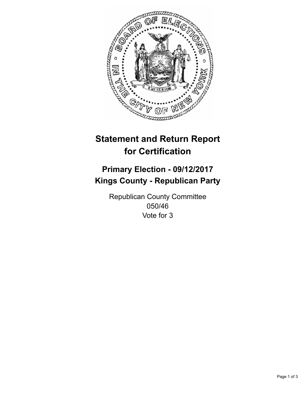

## **Statement and Return Report for Certification**

## **Primary Election - 09/12/2017 Kings County - Republican Party**

Republican County Committee 050/46 Vote for 3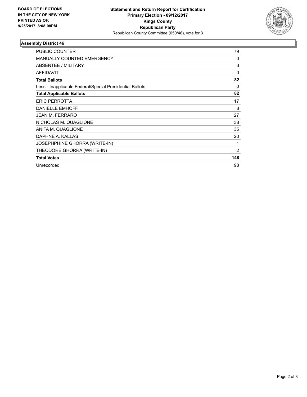

## **Assembly District 46**

| <b>PUBLIC COUNTER</b>                                    | 79             |
|----------------------------------------------------------|----------------|
| <b>MANUALLY COUNTED EMERGENCY</b>                        | 0              |
| ABSENTEE / MILITARY                                      | 3              |
| <b>AFFIDAVIT</b>                                         | 0              |
| <b>Total Ballots</b>                                     | 82             |
| Less - Inapplicable Federal/Special Presidential Ballots | 0              |
| <b>Total Applicable Ballots</b>                          | 82             |
| <b>ERIC PERROTTA</b>                                     | 17             |
| <b>DANIELLE EMHOFF</b>                                   | 8              |
| <b>JEAN M. FERRARO</b>                                   | 27             |
| NICHOLAS M. QUAGLIONE                                    | 38             |
| ANITA M. QUAGLIONE                                       | 35             |
| DAPHNE A. KALLAS                                         | 20             |
| <b>JOSEPHPHINE GHORRA (WRITE-IN)</b>                     | 1              |
| THEODORE GHORRA (WRITE-IN)                               | $\overline{2}$ |
| <b>Total Votes</b>                                       | 148            |
| Unrecorded                                               | 98             |